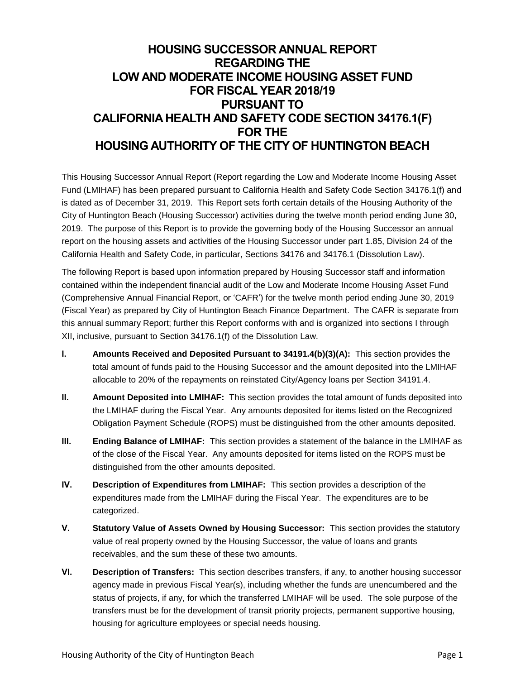# **HOUSING SUCCESSOR ANNUAL REPORT REGARDING THE LOW AND MODERATE INCOME HOUSING ASSET FUND FOR FISCAL YEAR 2018/19 PURSUANT TO CALIFORNIA HEALTH AND SAFETY CODE SECTION 34176.1(F) FOR THE HOUSING AUTHORITY OF THE CITY OF HUNTINGTON BEACH**

This Housing Successor Annual Report (Report regarding the Low and Moderate Income Housing Asset Fund (LMIHAF) has been prepared pursuant to California Health and Safety Code Section 34176.1(f) and is dated as of December 31, 2019. This Report sets forth certain details of the Housing Authority of the City of Huntington Beach (Housing Successor) activities during the twelve month period ending June 30, 2019. The purpose of this Report is to provide the governing body of the Housing Successor an annual report on the housing assets and activities of the Housing Successor under part 1.85, Division 24 of the California Health and Safety Code, in particular, Sections 34176 and 34176.1 (Dissolution Law).

The following Report is based upon information prepared by Housing Successor staff and information contained within the independent financial audit of the Low and Moderate Income Housing Asset Fund (Comprehensive Annual Financial Report, or 'CAFR') for the twelve month period ending June 30, 2019 (Fiscal Year) as prepared by City of Huntington Beach Finance Department. The CAFR is separate from this annual summary Report; further this Report conforms with and is organized into sections I through XII, inclusive, pursuant to Section 34176.1(f) of the Dissolution Law.

- **I. Amounts Received and Deposited Pursuant to 34191.4(b)(3)(A):** This section provides the total amount of funds paid to the Housing Successor and the amount deposited into the LMIHAF allocable to 20% of the repayments on reinstated City/Agency loans per Section 34191.4.
- **II. Amount Deposited into LMIHAF:** This section provides the total amount of funds deposited into the LMIHAF during the Fiscal Year. Any amounts deposited for items listed on the Recognized Obligation Payment Schedule (ROPS) must be distinguished from the other amounts deposited.
- **III. Ending Balance of LMIHAF:** This section provides a statement of the balance in the LMIHAF as of the close of the Fiscal Year. Any amounts deposited for items listed on the ROPS must be distinguished from the other amounts deposited.
- **IV. Description of Expenditures from LMIHAF:** This section provides a description of the expenditures made from the LMIHAF during the Fiscal Year. The expenditures are to be categorized.
- **V. Statutory Value of Assets Owned by Housing Successor:** This section provides the statutory value of real property owned by the Housing Successor, the value of loans and grants receivables, and the sum these of these two amounts.
- **VI. Description of Transfers:** This section describes transfers, if any, to another housing successor agency made in previous Fiscal Year(s), including whether the funds are unencumbered and the status of projects, if any, for which the transferred LMIHAF will be used. The sole purpose of the transfers must be for the development of transit priority projects, permanent supportive housing, housing for agriculture employees or special needs housing.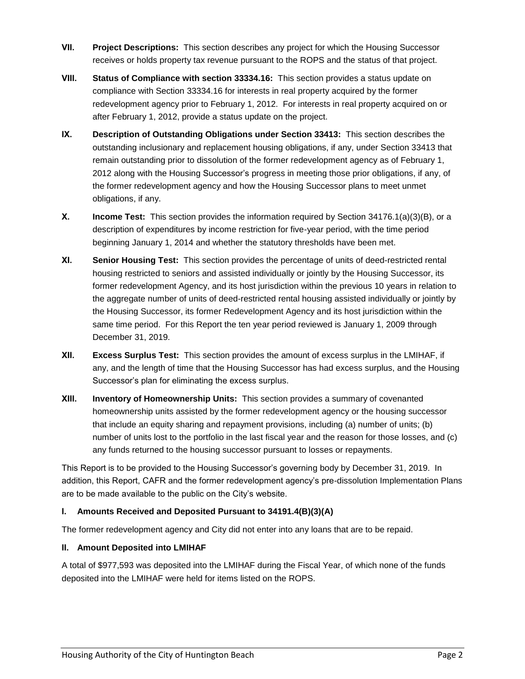- **VII. Project Descriptions:** This section describes any project for which the Housing Successor receives or holds property tax revenue pursuant to the ROPS and the status of that project.
- **VIII. Status of Compliance with section 33334.16:** This section provides a status update on compliance with Section 33334.16 for interests in real property acquired by the former redevelopment agency prior to February 1, 2012. For interests in real property acquired on or after February 1, 2012, provide a status update on the project.
- **IX. Description of Outstanding Obligations under Section 33413:** This section describes the outstanding inclusionary and replacement housing obligations, if any, under Section 33413 that remain outstanding prior to dissolution of the former redevelopment agency as of February 1, 2012 along with the Housing Successor's progress in meeting those prior obligations, if any, of the former redevelopment agency and how the Housing Successor plans to meet unmet obligations, if any.
- **X. Income Test:** This section provides the information required by Section 34176.1(a)(3)(B), or a description of expenditures by income restriction for five-year period, with the time period beginning January 1, 2014 and whether the statutory thresholds have been met.
- **XI. Senior Housing Test:** This section provides the percentage of units of deed-restricted rental housing restricted to seniors and assisted individually or jointly by the Housing Successor, its former redevelopment Agency, and its host jurisdiction within the previous 10 years in relation to the aggregate number of units of deed-restricted rental housing assisted individually or jointly by the Housing Successor, its former Redevelopment Agency and its host jurisdiction within the same time period. For this Report the ten year period reviewed is January 1, 2009 through December 31, 2019.
- **XII. Excess Surplus Test:** This section provides the amount of excess surplus in the LMIHAF, if any, and the length of time that the Housing Successor has had excess surplus, and the Housing Successor's plan for eliminating the excess surplus.
- **XIII. Inventory of Homeownership Units:** This section provides a summary of covenanted homeownership units assisted by the former redevelopment agency or the housing successor that include an equity sharing and repayment provisions, including (a) number of units; (b) number of units lost to the portfolio in the last fiscal year and the reason for those losses, and (c) any funds returned to the housing successor pursuant to losses or repayments.

This Report is to be provided to the Housing Successor's governing body by December 31, 2019. In addition, this Report, CAFR and the former redevelopment agency's pre-dissolution Implementation Plans are to be made available to the public on the City's website.

## **I. Amounts Received and Deposited Pursuant to 34191.4(B)(3)(A)**

The former redevelopment agency and City did not enter into any loans that are to be repaid.

#### **II. Amount Deposited into LMIHAF**

A total of \$977,593 was deposited into the LMIHAF during the Fiscal Year, of which none of the funds deposited into the LMIHAF were held for items listed on the ROPS.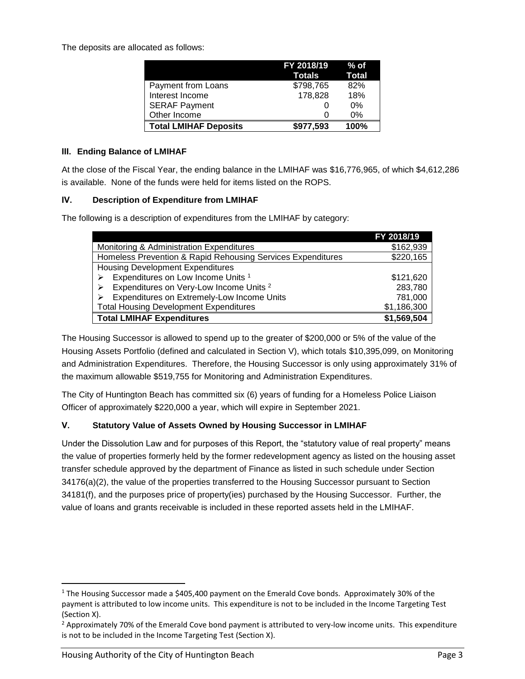The deposits are allocated as follows:

|                              | FY 2018/19<br>Totals | $%$ of<br>Total |
|------------------------------|----------------------|-----------------|
| Payment from Loans           | \$798,765            | 82%             |
| Interest Income              | 178,828              | 18%             |
| <b>SERAF Payment</b>         |                      | 0%              |
| Other Income                 |                      | 0%              |
| <b>Total LMIHAF Deposits</b> | \$977,593            | 100%            |

## **III. Ending Balance of LMIHAF**

At the close of the Fiscal Year, the ending balance in the LMIHAF was \$16,776,965, of which \$4,612,286 is available. None of the funds were held for items listed on the ROPS.

### **IV. Description of Expenditure from LMIHAF**

The following is a description of expenditures from the LMIHAF by category:

|                                                             | FY 2018/19  |
|-------------------------------------------------------------|-------------|
| Monitoring & Administration Expenditures                    | \$162,939   |
| Homeless Prevention & Rapid Rehousing Services Expenditures | \$220,165   |
| <b>Housing Development Expenditures</b>                     |             |
| Expenditures on Low Income Units 1                          | \$121,620   |
| Expenditures on Very-Low Income Units <sup>2</sup>          | 283,780     |
| Expenditures on Extremely-Low Income Units                  | 781,000     |
| <b>Total Housing Development Expenditures</b>               | \$1,186,300 |
| <b>Total LMIHAF Expenditures</b>                            | \$1,569,504 |

The Housing Successor is allowed to spend up to the greater of \$200,000 or 5% of the value of the Housing Assets Portfolio (defined and calculated in Section V), which totals \$10,395,099, on Monitoring and Administration Expenditures. Therefore, the Housing Successor is only using approximately 31% of the maximum allowable \$519,755 for Monitoring and Administration Expenditures.

The City of Huntington Beach has committed six (6) years of funding for a Homeless Police Liaison Officer of approximately \$220,000 a year, which will expire in September 2021.

## **V. Statutory Value of Assets Owned by Housing Successor in LMIHAF**

Under the Dissolution Law and for purposes of this Report, the "statutory value of real property" means the value of properties formerly held by the former redevelopment agency as listed on the housing asset transfer schedule approved by the department of Finance as listed in such schedule under Section 34176(a)(2), the value of the properties transferred to the Housing Successor pursuant to Section 34181(f), and the purposes price of property(ies) purchased by the Housing Successor. Further, the value of loans and grants receivable is included in these reported assets held in the LMIHAF.

 $\overline{\phantom{a}}$ 

 $1$  The Housing Successor made a \$405,400 payment on the Emerald Cove bonds. Approximately 30% of the payment is attributed to low income units. This expenditure is not to be included in the Income Targeting Test (Section X).

 $<sup>2</sup>$  Approximately 70% of the Emerald Cove bond payment is attributed to very-low income units. This expenditure</sup> is not to be included in the Income Targeting Test (Section X).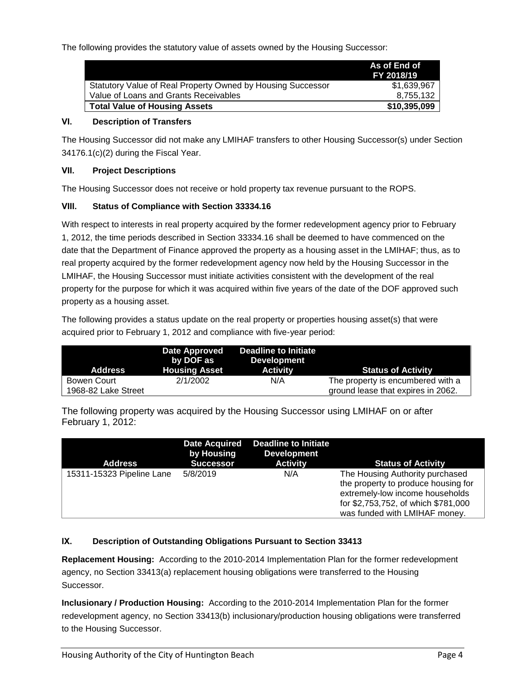The following provides the statutory value of assets owned by the Housing Successor:

|                                                             | As of End of<br>FY 2018/19 |
|-------------------------------------------------------------|----------------------------|
| Statutory Value of Real Property Owned by Housing Successor | \$1,639,967                |
| Value of Loans and Grants Receivables                       | 8.755.132                  |
| <b>Total Value of Housing Assets</b>                        | \$10,395,099               |

## **VI. Description of Transfers**

The Housing Successor did not make any LMIHAF transfers to other Housing Successor(s) under Section 34176.1(c)(2) during the Fiscal Year.

### **VII. Project Descriptions**

The Housing Successor does not receive or hold property tax revenue pursuant to the ROPS.

### **VIII. Status of Compliance with Section 33334.16**

With respect to interests in real property acquired by the former redevelopment agency prior to February 1, 2012, the time periods described in Section 33334.16 shall be deemed to have commenced on the date that the Department of Finance approved the property as a housing asset in the LMIHAF; thus, as to real property acquired by the former redevelopment agency now held by the Housing Successor in the LMIHAF, the Housing Successor must initiate activities consistent with the development of the real property for the purpose for which it was acquired within five years of the date of the DOF approved such property as a housing asset.

The following provides a status update on the real property or properties housing asset(s) that were acquired prior to February 1, 2012 and compliance with five-year period:

| Address             | Date Approved<br>by DOF as<br><b>Housing Asset</b> | <b>Deadline to Initiate</b><br><b>Development</b><br><b>Activity</b> | <b>Status of Activity</b>          |
|---------------------|----------------------------------------------------|----------------------------------------------------------------------|------------------------------------|
| Bowen Court         | 2/1/2002                                           | N/A                                                                  | The property is encumbered with a  |
| 1968-82 Lake Street |                                                    |                                                                      | ground lease that expires in 2062. |

The following property was acquired by the Housing Successor using LMIHAF on or after February 1, 2012:

| <b>Address</b>            | <b>Date Acquired</b><br>by Housing<br>Successor | <b>Deadline to Initiate</b><br><b>Development</b><br><b>Activity</b> | <b>Status of Activity</b>                                                                                                                                                         |
|---------------------------|-------------------------------------------------|----------------------------------------------------------------------|-----------------------------------------------------------------------------------------------------------------------------------------------------------------------------------|
| 15311-15323 Pipeline Lane | 5/8/2019                                        | N/A                                                                  | The Housing Authority purchased<br>the property to produce housing for<br>extremely-low income households<br>for \$2,753,752, of which \$781,000<br>was funded with LMIHAF money. |

## **IX. Description of Outstanding Obligations Pursuant to Section 33413**

**Replacement Housing:** According to the 2010-2014 Implementation Plan for the former redevelopment agency, no Section 33413(a) replacement housing obligations were transferred to the Housing Successor.

**Inclusionary / Production Housing:** According to the 2010-2014 Implementation Plan for the former redevelopment agency, no Section 33413(b) inclusionary/production housing obligations were transferred to the Housing Successor.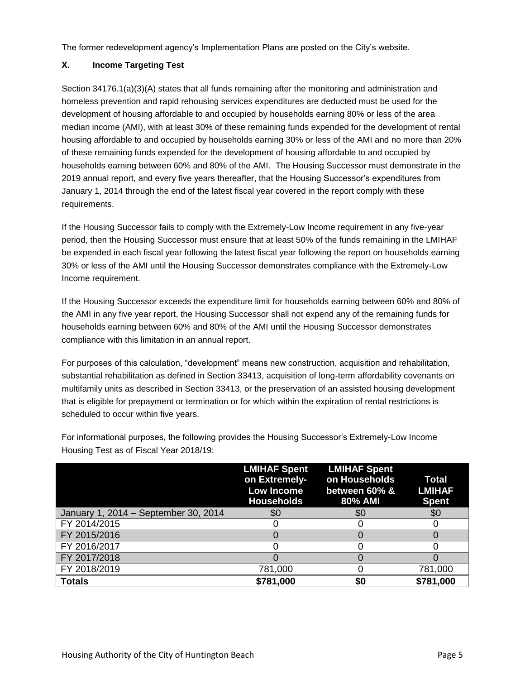The former redevelopment agency's Implementation Plans are posted on the City's website.

## **X. Income Targeting Test**

Section 34176.1(a)(3)(A) states that all funds remaining after the monitoring and administration and homeless prevention and rapid rehousing services expenditures are deducted must be used for the development of housing affordable to and occupied by households earning 80% or less of the area median income (AMI), with at least 30% of these remaining funds expended for the development of rental housing affordable to and occupied by households earning 30% or less of the AMI and no more than 20% of these remaining funds expended for the development of housing affordable to and occupied by households earning between 60% and 80% of the AMI. The Housing Successor must demonstrate in the 2019 annual report, and every five years thereafter, that the Housing Successor's expenditures from January 1, 2014 through the end of the latest fiscal year covered in the report comply with these requirements.

If the Housing Successor fails to comply with the Extremely-Low Income requirement in any five-year period, then the Housing Successor must ensure that at least 50% of the funds remaining in the LMIHAF be expended in each fiscal year following the latest fiscal year following the report on households earning 30% or less of the AMI until the Housing Successor demonstrates compliance with the Extremely-Low Income requirement.

If the Housing Successor exceeds the expenditure limit for households earning between 60% and 80% of the AMI in any five year report, the Housing Successor shall not expend any of the remaining funds for households earning between 60% and 80% of the AMI until the Housing Successor demonstrates compliance with this limitation in an annual report.

For purposes of this calculation, "development" means new construction, acquisition and rehabilitation, substantial rehabilitation as defined in Section 33413, acquisition of long-term affordability covenants on multifamily units as described in Section 33413, or the preservation of an assisted housing development that is eligible for prepayment or termination or for which within the expiration of rental restrictions is scheduled to occur within five years.

|                                      | <b>LMIHAF Spent</b><br>on Extremely-<br><b>Low Income</b><br><b>Households</b> | <b>LMIHAF Spent</b><br>on Households<br>between 60% &<br>80% AMI | <b>Total</b><br><b>LMIHAF</b><br><b>Spent</b> |
|--------------------------------------|--------------------------------------------------------------------------------|------------------------------------------------------------------|-----------------------------------------------|
| January 1, 2014 - September 30, 2014 | \$0                                                                            | \$0                                                              | \$0                                           |
| FY 2014/2015                         |                                                                                |                                                                  |                                               |
| FY 2015/2016                         |                                                                                |                                                                  |                                               |
| FY 2016/2017                         |                                                                                |                                                                  |                                               |
| FY 2017/2018                         |                                                                                |                                                                  |                                               |
| FY 2018/2019                         | 781,000                                                                        |                                                                  | 781,000                                       |
| <b>Totals</b>                        | \$781,000                                                                      | \$0                                                              | \$781,000                                     |

For informational purposes, the following provides the Housing Successor's Extremely-Low Income Housing Test as of Fiscal Year 2018/19: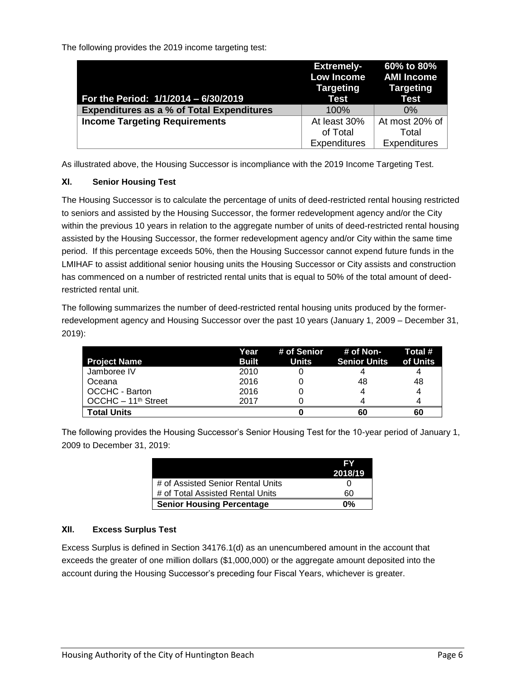The following provides the 2019 income targeting test:

| For the Period: 1/1/2014 - 6/30/2019             | <b>Extremely-</b><br><b>Low Income</b><br>Targeting<br>Test | 60% to 80%<br><b>AMI Income</b><br><b>Targeting</b><br><b>Test</b> |
|--------------------------------------------------|-------------------------------------------------------------|--------------------------------------------------------------------|
| <b>Expenditures as a % of Total Expenditures</b> | 100%                                                        | $0\%$                                                              |
| <b>Income Targeting Requirements</b>             | At least 30%                                                | At most 20% of                                                     |
|                                                  | of Total                                                    | Total                                                              |
|                                                  | <b>Expenditures</b>                                         | <b>Expenditures</b>                                                |

As illustrated above, the Housing Successor is incompliance with the 2019 Income Targeting Test.

## **XI. Senior Housing Test**

The Housing Successor is to calculate the percentage of units of deed-restricted rental housing restricted to seniors and assisted by the Housing Successor, the former redevelopment agency and/or the City within the previous 10 years in relation to the aggregate number of units of deed-restricted rental housing assisted by the Housing Successor, the former redevelopment agency and/or City within the same time period. If this percentage exceeds 50%, then the Housing Successor cannot expend future funds in the LMIHAF to assist additional senior housing units the Housing Successor or City assists and construction has commenced on a number of restricted rental units that is equal to 50% of the total amount of deedrestricted rental unit.

The following summarizes the number of deed-restricted rental housing units produced by the formerredevelopment agency and Housing Successor over the past 10 years (January 1, 2009 – December 31, 2019):

|                                 | Year         |       | $#$ of Senior $#$ of Non- | Total #  |
|---------------------------------|--------------|-------|---------------------------|----------|
| <b>Project Name</b>             | <b>Built</b> | Units | <b>Senior Units</b>       | of Units |
| Jamboree IV                     | 2010         |       |                           | 4        |
| <b>Oceana</b>                   | 2016         |       | 48                        | 48       |
| OCCHC - Barton                  | 2016         |       |                           | 4        |
| OCCHC - 11 <sup>th</sup> Street | 2017         |       |                           | 4        |
| <b>Total Units</b>              |              |       | 60                        | 60       |

The following provides the Housing Successor's Senior Housing Test for the 10-year period of January 1, 2009 to December 31, 2019:

|                                   | FΥ      |
|-----------------------------------|---------|
|                                   | 2018/19 |
| # of Assisted Senior Rental Units |         |
| # of Total Assisted Rental Units  | 60      |
| <b>Senior Housing Percentage</b>  | 0%      |

## **XII. Excess Surplus Test**

Excess Surplus is defined in Section 34176.1(d) as an unencumbered amount in the account that exceeds the greater of one million dollars (\$1,000,000) or the aggregate amount deposited into the account during the Housing Successor's preceding four Fiscal Years, whichever is greater.